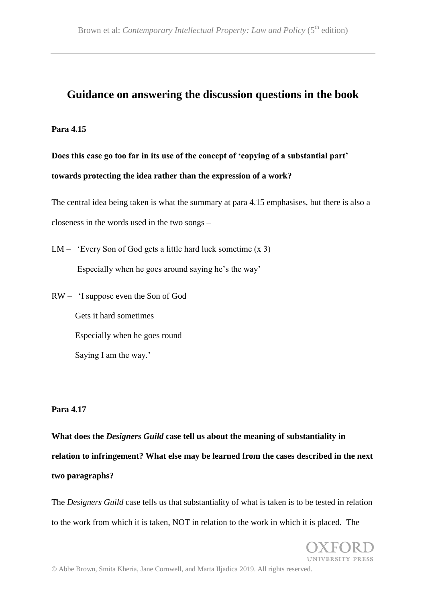### **Guidance on answering the discussion questions in the book**

#### **Para 4.15**

**Does this case go too far in its use of the concept of 'copying of a substantial part' towards protecting the idea rather than the expression of a work?**

The central idea being taken is what the summary at para 4.15 emphasises, but there is also a closeness in the words used in the two songs –

- $LM -$  'Every Son of God gets a little hard luck sometime  $(x 3)$ Especially when he goes around saying he's the way'
- RW 'I suppose even the Son of God Gets it hard sometimes Especially when he goes round Saying I am the way.'

#### **Para 4.17**

**What does the** *Designers Guild* **case tell us about the meaning of substantiality in relation to infringement? What else may be learned from the cases described in the next two paragraphs?**

The *Designers Guild* case tells us that substantiality of what is taken is to be tested in relation to the work from which it is taken, NOT in relation to the work in which it is placed. The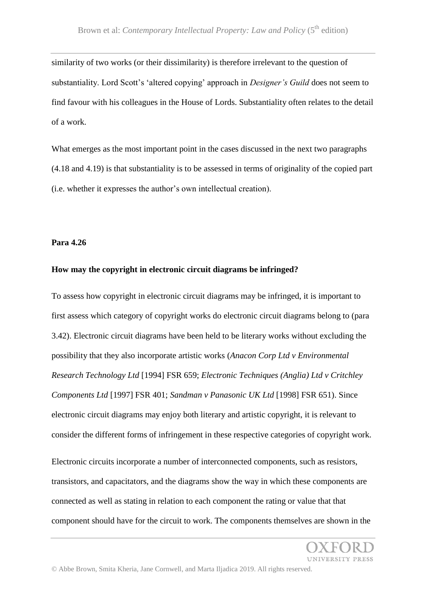similarity of two works (or their dissimilarity) is therefore irrelevant to the question of substantiality. Lord Scott's 'altered copying' approach in *Designer's Guild* does not seem to find favour with his colleagues in the House of Lords. Substantiality often relates to the detail of a work.

What emerges as the most important point in the cases discussed in the next two paragraphs (4.18 and 4.19) is that substantiality is to be assessed in terms of originality of the copied part (i.e. whether it expresses the author's own intellectual creation).

#### **Para 4.26**

#### **How may the copyright in electronic circuit diagrams be infringed?**

To assess how copyright in electronic circuit diagrams may be infringed, it is important to first assess which category of copyright works do electronic circuit diagrams belong to (para 3.42). Electronic circuit diagrams have been held to be literary works without excluding the possibility that they also incorporate artistic works (*Anacon Corp Ltd v Environmental Research Technology Ltd* [1994] FSR 659; *Electronic Techniques (Anglia) Ltd v Critchley Components Ltd* [1997] FSR 401; *Sandman v Panasonic UK Ltd* [1998] FSR 651). Since electronic circuit diagrams may enjoy both literary and artistic copyright, it is relevant to consider the different forms of infringement in these respective categories of copyright work. Electronic circuits incorporate a number of interconnected components, such as resistors, transistors, and capacitators, and the diagrams show the way in which these components are connected as well as stating in relation to each component the rating or value that that component should have for the circuit to work. The components themselves are shown in the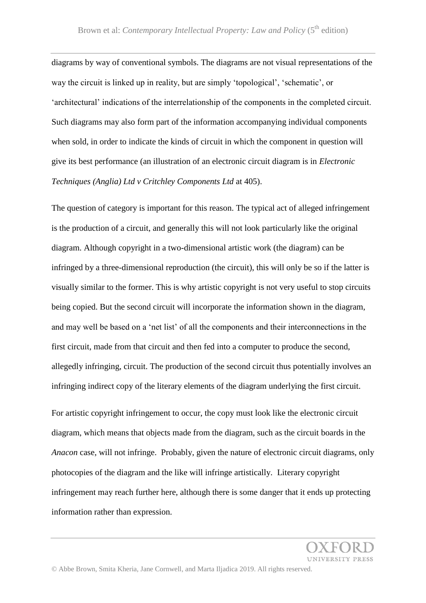diagrams by way of conventional symbols. The diagrams are not visual representations of the way the circuit is linked up in reality, but are simply 'topological', 'schematic', or 'architectural' indications of the interrelationship of the components in the completed circuit. Such diagrams may also form part of the information accompanying individual components when sold, in order to indicate the kinds of circuit in which the component in question will give its best performance (an illustration of an electronic circuit diagram is in *Electronic Techniques (Anglia) Ltd v Critchley Components Ltd* at 405).

The question of category is important for this reason. The typical act of alleged infringement is the production of a circuit, and generally this will not look particularly like the original diagram. Although copyright in a two-dimensional artistic work (the diagram) can be infringed by a three-dimensional reproduction (the circuit), this will only be so if the latter is visually similar to the former. This is why artistic copyright is not very useful to stop circuits being copied. But the second circuit will incorporate the information shown in the diagram, and may well be based on a 'net list' of all the components and their interconnections in the first circuit, made from that circuit and then fed into a computer to produce the second, allegedly infringing, circuit. The production of the second circuit thus potentially involves an infringing indirect copy of the literary elements of the diagram underlying the first circuit.

For artistic copyright infringement to occur, the copy must look like the electronic circuit diagram, which means that objects made from the diagram, such as the circuit boards in the *Anacon* case, will not infringe. Probably, given the nature of electronic circuit diagrams, only photocopies of the diagram and the like will infringe artistically. Literary copyright infringement may reach further here, although there is some danger that it ends up protecting information rather than expression.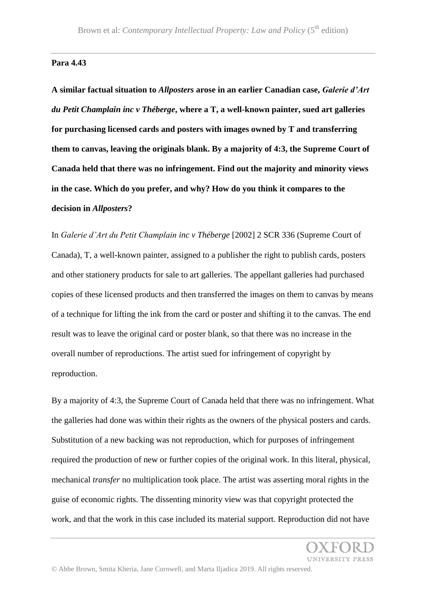#### **Para 4.43**

**A similar factual situation to** *Allposters* **arose in an earlier Canadian case,** *Galerie d'Art du Petit Champlain inc v Théberge***, where a T, a well-known painter, sued art galleries for purchasing licensed cards and posters with images owned by T and transferring them to canvas, leaving the originals blank. By a majority of 4:3, the Supreme Court of Canada held that there was no infringement. Find out the majority and minority views in the case. Which do you prefer, and why? How do you think it compares to the decision in** *Allposters***?**

In *Galerie d'Art du Petit Champlain inc v Théberge* [2002] 2 SCR 336 (Supreme Court of Canada), T, a well-known painter, assigned to a publisher the right to publish cards, posters and other stationery products for sale to art galleries. The appellant galleries had purchased copies of these licensed products and then transferred the images on them to canvas by means of a technique for lifting the ink from the card or poster and shifting it to the canvas. The end result was to leave the original card or poster blank, so that there was no increase in the overall number of reproductions. The artist sued for infringement of copyright by reproduction.

By a majority of 4:3, the Supreme Court of Canada held that there was no infringement. What the galleries had done was within their rights as the owners of the physical posters and cards. Substitution of a new backing was not reproduction, which for purposes of infringement required the production of new or further copies of the original work. In this literal, physical, mechanical *transfer* no multiplication took place. The artist was asserting moral rights in the guise of economic rights. The dissenting minority view was that copyright protected the work, and that the work in this case included its material support. Reproduction did not have

**VERSITY PRESS**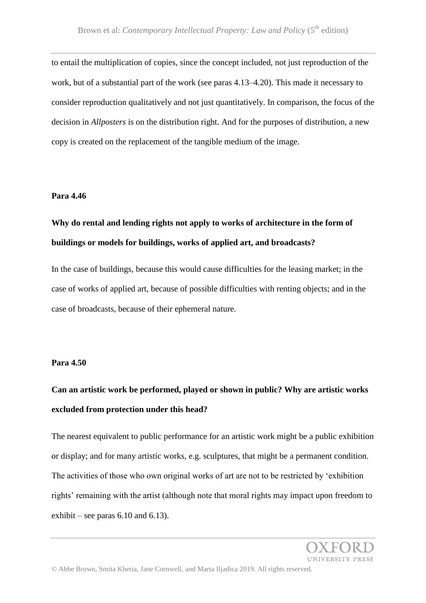to entail the multiplication of copies, since the concept included, not just reproduction of the work, but of a substantial part of the work (see paras 4.13–4.20). This made it necessary to consider reproduction qualitatively and not just quantitatively. In comparison, the focus of the decision in *Allposters* is on the distribution right. And for the purposes of distribution, a new copy is created on the replacement of the tangible medium of the image.

#### **Para 4.46**

### **Why do rental and lending rights not apply to works of architecture in the form of buildings or models for buildings, works of applied art, and broadcasts?**

In the case of buildings, because this would cause difficulties for the leasing market; in the case of works of applied art, because of possible difficulties with renting objects; and in the case of broadcasts, because of their ephemeral nature.

#### **Para 4.50**

# **Can an artistic work be performed, played or shown in public? Why are artistic works excluded from protection under this head?**

The nearest equivalent to public performance for an artistic work might be a public exhibition or display; and for many artistic works, e.g. sculptures, that might be a permanent condition. The activities of those who own original works of art are not to be restricted by 'exhibition rights' remaining with the artist (although note that moral rights may impact upon freedom to exhibit – see paras  $6.10$  and  $6.13$ ).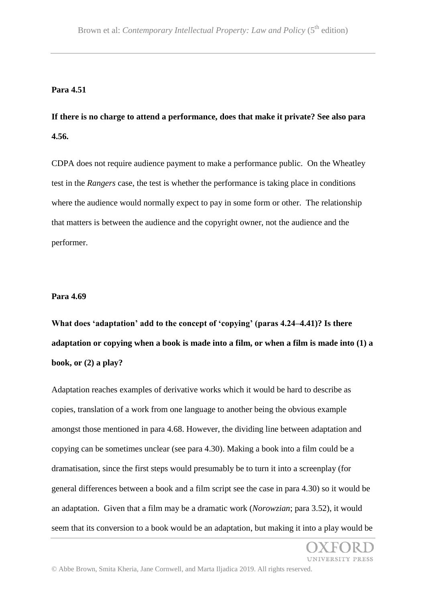#### **Para 4.51**

**If there is no charge to attend a performance, does that make it private? See also para 4.56.**

CDPA does not require audience payment to make a performance public. On the Wheatley test in the *Rangers* case, the test is whether the performance is taking place in conditions where the audience would normally expect to pay in some form or other. The relationship that matters is between the audience and the copyright owner, not the audience and the performer.

#### **Para 4.69**

**What does 'adaptation' add to the concept of 'copying' (paras 4.24–4.41)? Is there adaptation or copying when a book is made into a film, or when a film is made into (1) a book, or (2) a play?**

Adaptation reaches examples of derivative works which it would be hard to describe as copies, translation of a work from one language to another being the obvious example amongst those mentioned in para 4.68. However, the dividing line between adaptation and copying can be sometimes unclear (see para 4.30). Making a book into a film could be a dramatisation, since the first steps would presumably be to turn it into a screenplay (for general differences between a book and a film script see the case in para 4.30) so it would be an adaptation. Given that a film may be a dramatic work (*Norowzian*; para 3.52), it would seem that its conversion to a book would be an adaptation, but making it into a play would be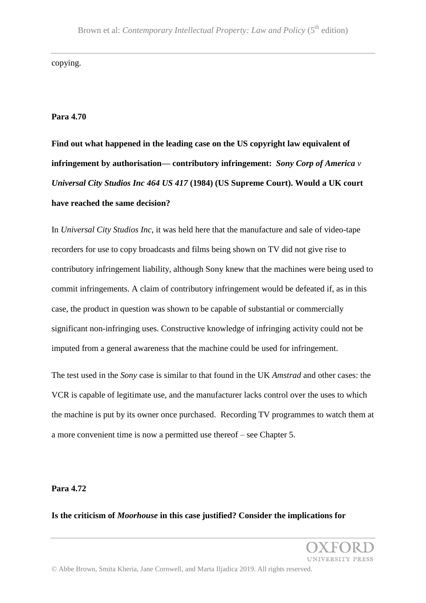copying.

#### **Para 4.70**

**Find out what happened in the leading case on the US copyright law equivalent of infringement by authorisation— contributory infringement:** *Sony Corp of America v Universal City Studios Inc 464 US 417* **(1984) (US Supreme Court). Would a UK court have reached the same decision?**

In *Universal City Studios Inc*, it was held here that the manufacture and sale of video-tape recorders for use to copy broadcasts and films being shown on TV did not give rise to contributory infringement liability, although Sony knew that the machines were being used to commit infringements. A claim of contributory infringement would be defeated if, as in this case, the product in question was shown to be capable of substantial or commercially significant non-infringing uses. Constructive knowledge of infringing activity could not be imputed from a general awareness that the machine could be used for infringement.

The test used in the *Sony* case is similar to that found in the UK *Amstrad* and other cases: the VCR is capable of legitimate use, and the manufacturer lacks control over the uses to which the machine is put by its owner once purchased. Recording TV programmes to watch them at a more convenient time is now a permitted use thereof – see Chapter 5.

#### **Para 4.72**

**Is the criticism of** *Moorhouse* **in this case justified? Consider the implications for**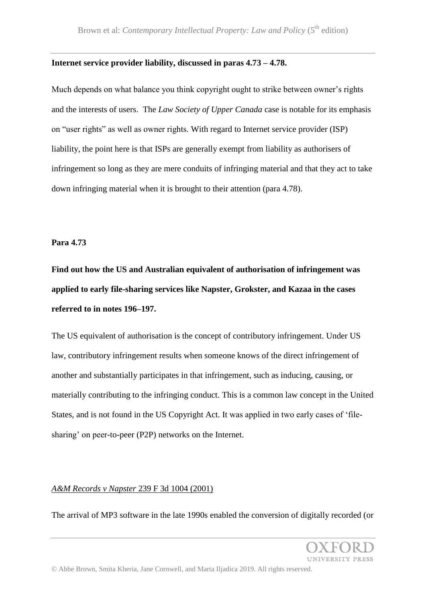#### **Internet service provider liability, discussed in paras 4.73 – 4.78.**

Much depends on what balance you think copyright ought to strike between owner's rights and the interests of users. The *Law Society of Upper Canada* case is notable for its emphasis on "user rights" as well as owner rights. With regard to Internet service provider (ISP) liability, the point here is that ISPs are generally exempt from liability as authorisers of infringement so long as they are mere conduits of infringing material and that they act to take down infringing material when it is brought to their attention (para 4.78).

#### **Para 4.73**

**Find out how the US and Australian equivalent of authorisation of infringement was applied to early file-sharing services like Napster, Grokster, and Kazaa in the cases referred to in notes 196–197.**

The US equivalent of authorisation is the concept of contributory infringement. Under US law, contributory infringement results when someone knows of the direct infringement of another and substantially participates in that infringement, such as inducing, causing, or materially contributing to the infringing conduct. This is a common law concept in the United States, and is not found in the US Copyright Act. It was applied in two early cases of 'filesharing' on peer-to-peer (P2P) networks on the Internet.

#### *A&M Records v Napster* 239 F 3d 1004 (2001)

The arrival of MP3 software in the late 1990s enabled the conversion of digitally recorded (or

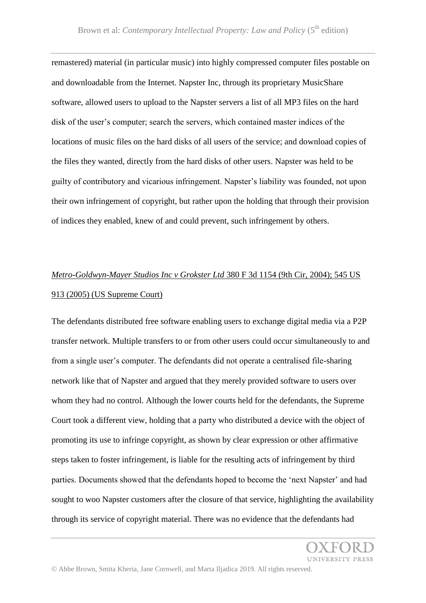remastered) material (in particular music) into highly compressed computer files postable on and downloadable from the Internet. Napster Inc, through its proprietary MusicShare software, allowed users to upload to the Napster servers a list of all MP3 files on the hard disk of the user's computer; search the servers, which contained master indices of the locations of music files on the hard disks of all users of the service; and download copies of the files they wanted, directly from the hard disks of other users. Napster was held to be guilty of contributory and vicarious infringement. Napster's liability was founded, not upon their own infringement of copyright, but rather upon the holding that through their provision of indices they enabled, knew of and could prevent, such infringement by others.

### *Metro-Goldwyn-Mayer Studios Inc v Grokster Ltd* 380 F 3d 1154 (9th Cir, 2004); 545 US 913 (2005) (US Supreme Court)

The defendants distributed free software enabling users to exchange digital media via a P2P transfer network. Multiple transfers to or from other users could occur simultaneously to and from a single user's computer. The defendants did not operate a centralised file-sharing network like that of Napster and argued that they merely provided software to users over whom they had no control. Although the lower courts held for the defendants, the Supreme Court took a different view, holding that a party who distributed a device with the object of promoting its use to infringe copyright, as shown by clear expression or other affirmative steps taken to foster infringement, is liable for the resulting acts of infringement by third parties. Documents showed that the defendants hoped to become the 'next Napster' and had sought to woo Napster customers after the closure of that service, highlighting the availability through its service of copyright material. There was no evidence that the defendants had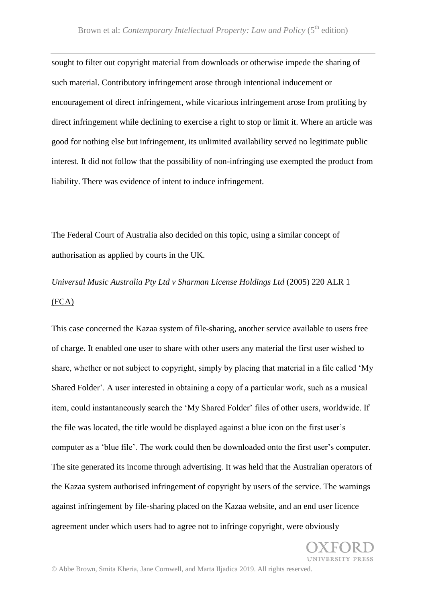sought to filter out copyright material from downloads or otherwise impede the sharing of such material. Contributory infringement arose through intentional inducement or encouragement of direct infringement, while vicarious infringement arose from profiting by direct infringement while declining to exercise a right to stop or limit it. Where an article was good for nothing else but infringement, its unlimited availability served no legitimate public interest. It did not follow that the possibility of non-infringing use exempted the product from liability. There was evidence of intent to induce infringement.

The Federal Court of Australia also decided on this topic, using a similar concept of authorisation as applied by courts in the UK.

# *Universal Music Australia Pty Ltd v Sharman License Holdings Ltd* (2005) 220 ALR 1 (FCA)

This case concerned the Kazaa system of file-sharing, another service available to users free of charge. It enabled one user to share with other users any material the first user wished to share, whether or not subject to copyright, simply by placing that material in a file called 'My Shared Folder'. A user interested in obtaining a copy of a particular work, such as a musical item, could instantaneously search the 'My Shared Folder' files of other users, worldwide. If the file was located, the title would be displayed against a blue icon on the first user's computer as a 'blue file'. The work could then be downloaded onto the first user's computer. The site generated its income through advertising. It was held that the Australian operators of the Kazaa system authorised infringement of copyright by users of the service. The warnings against infringement by file-sharing placed on the Kazaa website, and an end user licence agreement under which users had to agree not to infringe copyright, were obviously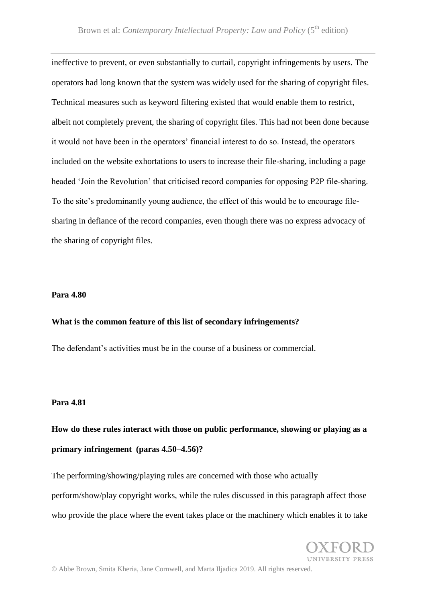ineffective to prevent, or even substantially to curtail, copyright infringements by users. The operators had long known that the system was widely used for the sharing of copyright files. Technical measures such as keyword filtering existed that would enable them to restrict, albeit not completely prevent, the sharing of copyright files. This had not been done because it would not have been in the operators' financial interest to do so. Instead, the operators included on the website exhortations to users to increase their file-sharing, including a page headed 'Join the Revolution' that criticised record companies for opposing P2P file-sharing. To the site's predominantly young audience, the effect of this would be to encourage filesharing in defiance of the record companies, even though there was no express advocacy of the sharing of copyright files.

#### **Para 4.80**

#### **What is the common feature of this list of secondary infringements?**

The defendant's activities must be in the course of a business or commercial.

#### **Para 4.81**

# **How do these rules interact with those on public performance, showing or playing as a primary infringement (paras 4.50–4.56)?**

The performing/showing/playing rules are concerned with those who actually perform/show/play copyright works, while the rules discussed in this paragraph affect those who provide the place where the event takes place or the machinery which enables it to take